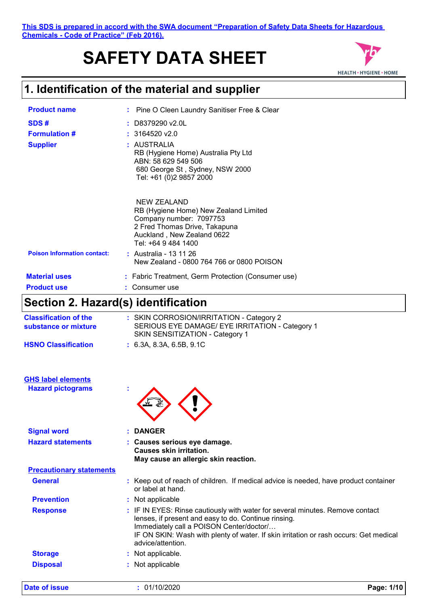#### **This SDS is prepared in accord with the SWA document "Preparation of Safety Data Sheets for Hazardous Chemicals - Code of Practice" (Feb 2016).**

# **SAFETY DATA SHEET**



# **1. Identification of the material and supplier**

| <b>Product name</b>                             | : Pine O Cleen Laundry Sanitiser Free & Clear                                                                                                                                |
|-------------------------------------------------|------------------------------------------------------------------------------------------------------------------------------------------------------------------------------|
| SDS#<br><b>Formulation #</b><br><b>Supplier</b> | $:$ D8379290 v2.0L<br>: 3164520 v2.0<br>: AUSTRALIA<br>RB (Hygiene Home) Australia Pty Ltd<br>ABN: 58 629 549 506                                                            |
|                                                 | 680 George St, Sydney, NSW 2000<br>Tel: +61 (0)2 9857 2000                                                                                                                   |
|                                                 | <b>NEW ZEALAND</b><br>RB (Hygiene Home) New Zealand Limited<br>Company number: 7097753<br>2 Fred Thomas Drive, Takapuna<br>Auckland, New Zealand 0622<br>Tel: +64 9 484 1400 |
| <b>Poison Information contact:</b>              | : Australia - 13 11 26<br>New Zealand - 0800 764 766 or 0800 POISON                                                                                                          |
| <b>Material uses</b>                            | : Fabric Treatment, Germ Protection (Consumer use)                                                                                                                           |
| <b>Product use</b>                              | Consumer use                                                                                                                                                                 |

# **Section 2. Hazard(s) identification**

| <b>Classification of the</b><br>substance or mixture | : SKIN CORROSION/IRRITATION - Category 2<br>SERIOUS EYE DAMAGE/ EYE IRRITATION - Category 1<br>SKIN SENSITIZATION - Category 1 |
|------------------------------------------------------|--------------------------------------------------------------------------------------------------------------------------------|
| <b>HSNO Classification</b>                           | : 6.3A. 8.3A. 6.5B. 9.1C                                                                                                       |

| <b>GHS label elements</b> |  |
|---------------------------|--|
| <b>Hazard pictograms</b>  |  |



| <b>Signal word</b>              | : DANGER                                                                                                                                                                                                                                                                                        |
|---------------------------------|-------------------------------------------------------------------------------------------------------------------------------------------------------------------------------------------------------------------------------------------------------------------------------------------------|
| <b>Hazard statements</b>        | : Causes serious eye damage.<br>Causes skin irritation.<br>May cause an allergic skin reaction.                                                                                                                                                                                                 |
| <b>Precautionary statements</b> |                                                                                                                                                                                                                                                                                                 |
| <b>General</b>                  | : Keep out of reach of children. If medical advice is needed, have product container<br>or label at hand.                                                                                                                                                                                       |
| <b>Prevention</b>               | : Not applicable                                                                                                                                                                                                                                                                                |
| <b>Response</b>                 | : IF IN EYES: Rinse cautiously with water for several minutes. Remove contact<br>lenses, if present and easy to do. Continue rinsing.<br>Immediately call a POISON Center/doctor/<br>IF ON SKIN: Wash with plenty of water. If skin irritation or rash occurs: Get medical<br>advice/attention. |
| <b>Storage</b>                  | : Not applicable.                                                                                                                                                                                                                                                                               |
| <b>Disposal</b>                 | : Not applicable                                                                                                                                                                                                                                                                                |

**Date of issue :** 01/10/2020 **Page: 1/10**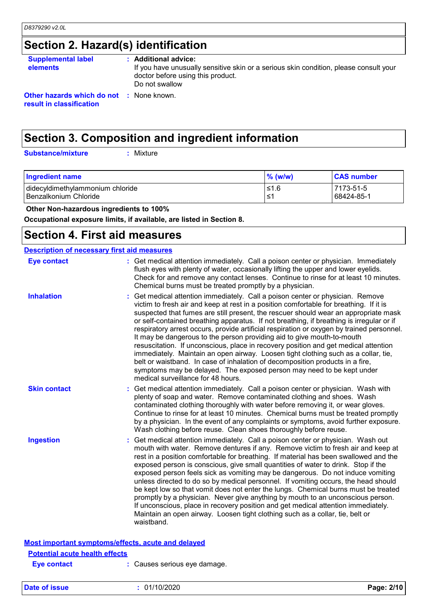# **Section 2. Hazard(s) identification**

| <b>Supplemental label</b><br><b>elements</b>                                | : Additional advice:<br>If you have unusually sensitive skin or a serious skin condition, please consult your<br>doctor before using this product.<br>Do not swallow |
|-----------------------------------------------------------------------------|----------------------------------------------------------------------------------------------------------------------------------------------------------------------|
| <b>Other hazards which do not : None known.</b><br>result in classification |                                                                                                                                                                      |

# **Section 3. Composition and ingredient information**

**Substance/mixture :**

: Mixture

| <b>Ingredient name</b>           | $\%$ (w/w) | <b>CAS number</b> |
|----------------------------------|------------|-------------------|
| didecyldimethylammonium chloride | ≤1.6       | 7173-51-5         |
| l Benzalkonium Chloride          | . ≤1       | 68424-85-1        |

 **Other Non-hazardous ingredients to 100%**

**Occupational exposure limits, if available, are listed in Section 8.**

### **Section 4. First aid measures**

|                                       | <b>Description of necessary first aid measures</b>                                                                                                                                                                                                                                                                                                                                                                                                                                                                                                                                                                                                                                                                                                                                                                                                                                                            |
|---------------------------------------|---------------------------------------------------------------------------------------------------------------------------------------------------------------------------------------------------------------------------------------------------------------------------------------------------------------------------------------------------------------------------------------------------------------------------------------------------------------------------------------------------------------------------------------------------------------------------------------------------------------------------------------------------------------------------------------------------------------------------------------------------------------------------------------------------------------------------------------------------------------------------------------------------------------|
| <b>Eye contact</b>                    | : Get medical attention immediately. Call a poison center or physician. Immediately<br>flush eyes with plenty of water, occasionally lifting the upper and lower eyelids.<br>Check for and remove any contact lenses. Continue to rinse for at least 10 minutes.<br>Chemical burns must be treated promptly by a physician.                                                                                                                                                                                                                                                                                                                                                                                                                                                                                                                                                                                   |
| <b>Inhalation</b>                     | Get medical attention immediately. Call a poison center or physician. Remove<br>victim to fresh air and keep at rest in a position comfortable for breathing. If it is<br>suspected that fumes are still present, the rescuer should wear an appropriate mask<br>or self-contained breathing apparatus. If not breathing, if breathing is irregular or if<br>respiratory arrest occurs, provide artificial respiration or oxygen by trained personnel.<br>It may be dangerous to the person providing aid to give mouth-to-mouth<br>resuscitation. If unconscious, place in recovery position and get medical attention<br>immediately. Maintain an open airway. Loosen tight clothing such as a collar, tie,<br>belt or waistband. In case of inhalation of decomposition products in a fire,<br>symptoms may be delayed. The exposed person may need to be kept under<br>medical surveillance for 48 hours. |
| <b>Skin contact</b>                   | Get medical attention immediately. Call a poison center or physician. Wash with<br>plenty of soap and water. Remove contaminated clothing and shoes. Wash<br>contaminated clothing thoroughly with water before removing it, or wear gloves.<br>Continue to rinse for at least 10 minutes. Chemical burns must be treated promptly<br>by a physician. In the event of any complaints or symptoms, avoid further exposure.<br>Wash clothing before reuse. Clean shoes thoroughly before reuse.                                                                                                                                                                                                                                                                                                                                                                                                                 |
| <b>Ingestion</b>                      | Get medical attention immediately. Call a poison center or physician. Wash out<br>mouth with water. Remove dentures if any. Remove victim to fresh air and keep at<br>rest in a position comfortable for breathing. If material has been swallowed and the<br>exposed person is conscious, give small quantities of water to drink. Stop if the<br>exposed person feels sick as vomiting may be dangerous. Do not induce vomiting<br>unless directed to do so by medical personnel. If vomiting occurs, the head should<br>be kept low so that vomit does not enter the lungs. Chemical burns must be treated<br>promptly by a physician. Never give anything by mouth to an unconscious person.<br>If unconscious, place in recovery position and get medical attention immediately.<br>Maintain an open airway. Loosen tight clothing such as a collar, tie, belt or<br>waistband.                          |
|                                       | Most important symptoms/effects, acute and delayed                                                                                                                                                                                                                                                                                                                                                                                                                                                                                                                                                                                                                                                                                                                                                                                                                                                            |
| <b>Potential acute health effects</b> |                                                                                                                                                                                                                                                                                                                                                                                                                                                                                                                                                                                                                                                                                                                                                                                                                                                                                                               |
|                                       |                                                                                                                                                                                                                                                                                                                                                                                                                                                                                                                                                                                                                                                                                                                                                                                                                                                                                                               |

| <b>Eye contact</b> | : Causes serious eye damage. |  |
|--------------------|------------------------------|--|
|                    |                              |  |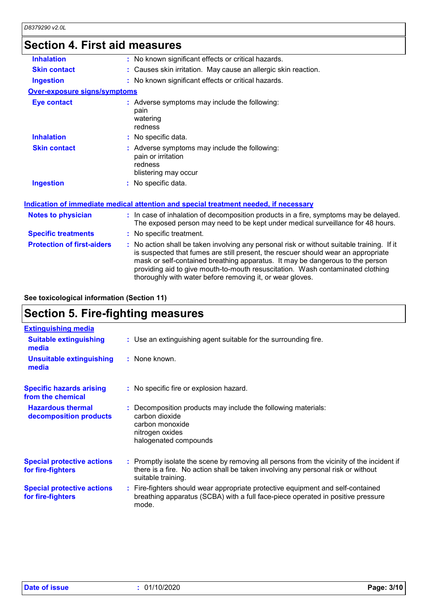# **Section 4. First aid measures**

| <b>Skin contact</b><br>: Causes skin irritation. May cause an allergic skin reaction.<br>: No known significant effects or critical hazards.<br><b>Ingestion</b><br><b>Over-exposure signs/symptoms</b><br><b>Eye contact</b><br>: Adverse symptoms may include the following:<br>pain<br>watering<br>redness<br><b>Inhalation</b><br>: No specific data.<br>: Adverse symptoms may include the following:<br><b>Skin contact</b><br>pain or irritation<br>redness<br>blistering may occur<br><b>Ingestion</b><br>: No specific data.<br><b>Indication of immediate medical attention and special treatment needed, if necessary</b><br>: In case of inhalation of decomposition products in a fire, symptoms may be delayed.<br><b>Notes to physician</b><br>The exposed person may need to be kept under medical surveillance for 48 hours.<br><b>Specific treatments</b><br>: No specific treatment.<br><b>Protection of first-aiders</b><br>: No action shall be taken involving any personal risk or without suitable training. If it<br>is suspected that fumes are still present, the rescuer should wear an appropriate<br>mask or self-contained breathing apparatus. It may be dangerous to the person<br>providing aid to give mouth-to-mouth resuscitation. Wash contaminated clothing<br>thoroughly with water before removing it, or wear gloves. |                   |                                                     |
|-----------------------------------------------------------------------------------------------------------------------------------------------------------------------------------------------------------------------------------------------------------------------------------------------------------------------------------------------------------------------------------------------------------------------------------------------------------------------------------------------------------------------------------------------------------------------------------------------------------------------------------------------------------------------------------------------------------------------------------------------------------------------------------------------------------------------------------------------------------------------------------------------------------------------------------------------------------------------------------------------------------------------------------------------------------------------------------------------------------------------------------------------------------------------------------------------------------------------------------------------------------------------------------------------------------------------------------------------------------------|-------------------|-----------------------------------------------------|
|                                                                                                                                                                                                                                                                                                                                                                                                                                                                                                                                                                                                                                                                                                                                                                                                                                                                                                                                                                                                                                                                                                                                                                                                                                                                                                                                                                 | <b>Inhalation</b> | : No known significant effects or critical hazards. |
|                                                                                                                                                                                                                                                                                                                                                                                                                                                                                                                                                                                                                                                                                                                                                                                                                                                                                                                                                                                                                                                                                                                                                                                                                                                                                                                                                                 |                   |                                                     |
|                                                                                                                                                                                                                                                                                                                                                                                                                                                                                                                                                                                                                                                                                                                                                                                                                                                                                                                                                                                                                                                                                                                                                                                                                                                                                                                                                                 |                   |                                                     |
|                                                                                                                                                                                                                                                                                                                                                                                                                                                                                                                                                                                                                                                                                                                                                                                                                                                                                                                                                                                                                                                                                                                                                                                                                                                                                                                                                                 |                   |                                                     |
|                                                                                                                                                                                                                                                                                                                                                                                                                                                                                                                                                                                                                                                                                                                                                                                                                                                                                                                                                                                                                                                                                                                                                                                                                                                                                                                                                                 |                   |                                                     |
|                                                                                                                                                                                                                                                                                                                                                                                                                                                                                                                                                                                                                                                                                                                                                                                                                                                                                                                                                                                                                                                                                                                                                                                                                                                                                                                                                                 |                   |                                                     |
|                                                                                                                                                                                                                                                                                                                                                                                                                                                                                                                                                                                                                                                                                                                                                                                                                                                                                                                                                                                                                                                                                                                                                                                                                                                                                                                                                                 |                   |                                                     |
|                                                                                                                                                                                                                                                                                                                                                                                                                                                                                                                                                                                                                                                                                                                                                                                                                                                                                                                                                                                                                                                                                                                                                                                                                                                                                                                                                                 |                   |                                                     |
|                                                                                                                                                                                                                                                                                                                                                                                                                                                                                                                                                                                                                                                                                                                                                                                                                                                                                                                                                                                                                                                                                                                                                                                                                                                                                                                                                                 |                   |                                                     |
|                                                                                                                                                                                                                                                                                                                                                                                                                                                                                                                                                                                                                                                                                                                                                                                                                                                                                                                                                                                                                                                                                                                                                                                                                                                                                                                                                                 |                   |                                                     |
|                                                                                                                                                                                                                                                                                                                                                                                                                                                                                                                                                                                                                                                                                                                                                                                                                                                                                                                                                                                                                                                                                                                                                                                                                                                                                                                                                                 |                   |                                                     |
|                                                                                                                                                                                                                                                                                                                                                                                                                                                                                                                                                                                                                                                                                                                                                                                                                                                                                                                                                                                                                                                                                                                                                                                                                                                                                                                                                                 |                   |                                                     |

**See toxicological information (Section 11)**

# **Section 5. Fire-fighting measures**

| <b>Extinguishing media</b>                             |                                                                                                                                                                                                     |
|--------------------------------------------------------|-----------------------------------------------------------------------------------------------------------------------------------------------------------------------------------------------------|
| <b>Suitable extinguishing</b><br>media                 | : Use an extinguishing agent suitable for the surrounding fire.                                                                                                                                     |
| <b>Unsuitable extinguishing</b><br>media               | : None known.                                                                                                                                                                                       |
| <b>Specific hazards arising</b><br>from the chemical   | : No specific fire or explosion hazard.                                                                                                                                                             |
| <b>Hazardous thermal</b><br>decomposition products     | : Decomposition products may include the following materials:<br>carbon dioxide<br>carbon monoxide<br>nitrogen oxides<br>halogenated compounds                                                      |
| <b>Special protective actions</b><br>for fire-fighters | : Promptly isolate the scene by removing all persons from the vicinity of the incident if<br>there is a fire. No action shall be taken involving any personal risk or without<br>suitable training. |
| <b>Special protective actions</b><br>for fire-fighters | : Fire-fighters should wear appropriate protective equipment and self-contained<br>breathing apparatus (SCBA) with a full face-piece operated in positive pressure<br>mode.                         |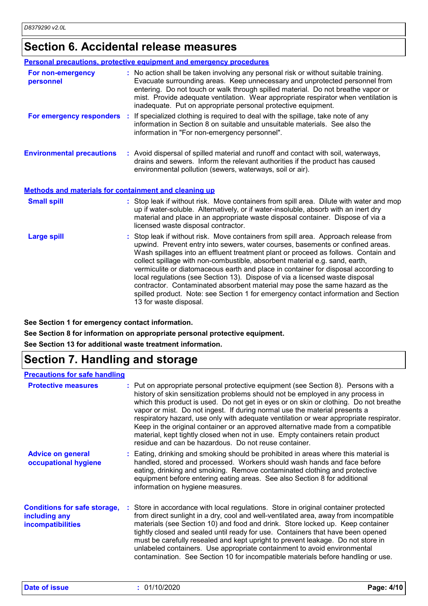# **Section 6. Accidental release measures**

|                                                              | Personal precautions, protective equipment and emergency procedures                                                                                                                                                                                                                                                                                                                                                                                                                                                                                                                                                                                                                                             |
|--------------------------------------------------------------|-----------------------------------------------------------------------------------------------------------------------------------------------------------------------------------------------------------------------------------------------------------------------------------------------------------------------------------------------------------------------------------------------------------------------------------------------------------------------------------------------------------------------------------------------------------------------------------------------------------------------------------------------------------------------------------------------------------------|
| For non-emergency<br>personnel                               | : No action shall be taken involving any personal risk or without suitable training.<br>Evacuate surrounding areas. Keep unnecessary and unprotected personnel from<br>entering. Do not touch or walk through spilled material. Do not breathe vapor or<br>mist. Provide adequate ventilation. Wear appropriate respirator when ventilation is<br>inadequate. Put on appropriate personal protective equipment.                                                                                                                                                                                                                                                                                                 |
|                                                              | For emergency responders : If specialized clothing is required to deal with the spillage, take note of any<br>information in Section 8 on suitable and unsuitable materials. See also the<br>information in "For non-emergency personnel".                                                                                                                                                                                                                                                                                                                                                                                                                                                                      |
| <b>Environmental precautions</b>                             | : Avoid dispersal of spilled material and runoff and contact with soil, waterways,<br>drains and sewers. Inform the relevant authorities if the product has caused<br>environmental pollution (sewers, waterways, soil or air).                                                                                                                                                                                                                                                                                                                                                                                                                                                                                 |
| <b>Methods and materials for containment and cleaning up</b> |                                                                                                                                                                                                                                                                                                                                                                                                                                                                                                                                                                                                                                                                                                                 |
| <b>Small spill</b>                                           | : Stop leak if without risk. Move containers from spill area. Dilute with water and mop<br>up if water-soluble. Alternatively, or if water-insoluble, absorb with an inert dry<br>material and place in an appropriate waste disposal container. Dispose of via a<br>licensed waste disposal contractor.                                                                                                                                                                                                                                                                                                                                                                                                        |
| <b>Large spill</b>                                           | : Stop leak if without risk. Move containers from spill area. Approach release from<br>upwind. Prevent entry into sewers, water courses, basements or confined areas.<br>Wash spillages into an effluent treatment plant or proceed as follows. Contain and<br>collect spillage with non-combustible, absorbent material e.g. sand, earth,<br>vermiculite or diatomaceous earth and place in container for disposal according to<br>local regulations (see Section 13). Dispose of via a licensed waste disposal<br>contractor. Contaminated absorbent material may pose the same hazard as the<br>spilled product. Note: see Section 1 for emergency contact information and Section<br>13 for waste disposal. |

**See Section 1 for emergency contact information.**

**See Section 8 for information on appropriate personal protective equipment.**

**See Section 13 for additional waste treatment information.**

# **Section 7. Handling and storage**

#### **Precautions for safe handling**

| <b>Protective measures</b>                                                       | : Put on appropriate personal protective equipment (see Section 8). Persons with a<br>history of skin sensitization problems should not be employed in any process in<br>which this product is used. Do not get in eyes or on skin or clothing. Do not breathe<br>vapor or mist. Do not ingest. If during normal use the material presents a<br>respiratory hazard, use only with adequate ventilation or wear appropriate respirator.<br>Keep in the original container or an approved alternative made from a compatible<br>material, kept tightly closed when not in use. Empty containers retain product<br>residue and can be hazardous. Do not reuse container. |
|----------------------------------------------------------------------------------|-----------------------------------------------------------------------------------------------------------------------------------------------------------------------------------------------------------------------------------------------------------------------------------------------------------------------------------------------------------------------------------------------------------------------------------------------------------------------------------------------------------------------------------------------------------------------------------------------------------------------------------------------------------------------|
| <b>Advice on general</b><br>occupational hygiene                                 | : Eating, drinking and smoking should be prohibited in areas where this material is<br>handled, stored and processed. Workers should wash hands and face before<br>eating, drinking and smoking. Remove contaminated clothing and protective<br>equipment before entering eating areas. See also Section 8 for additional<br>information on hygiene measures.                                                                                                                                                                                                                                                                                                         |
| <b>Conditions for safe storage,</b><br>including any<br><b>incompatibilities</b> | : Store in accordance with local regulations. Store in original container protected<br>from direct sunlight in a dry, cool and well-ventilated area, away from incompatible<br>materials (see Section 10) and food and drink. Store locked up. Keep container<br>tightly closed and sealed until ready for use. Containers that have been opened<br>must be carefully resealed and kept upright to prevent leakage. Do not store in<br>unlabeled containers. Use appropriate containment to avoid environmental<br>contamination. See Section 10 for incompatible materials before handling or use.                                                                   |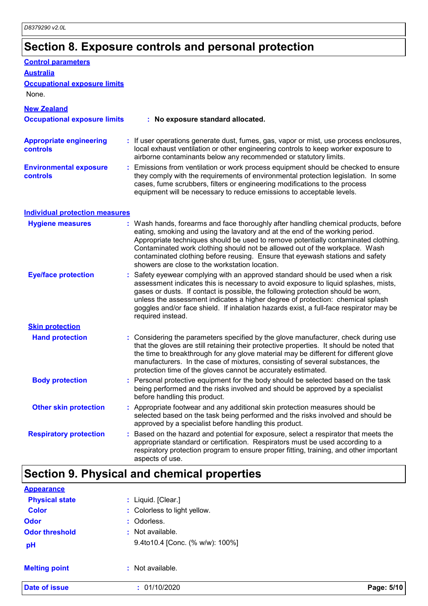# **Section 8. Exposure controls and personal protection**

| <b>Control parameters</b><br><b>Australia</b><br><b>Occupational exposure limits</b> |                                                                                                                                                                                                                                                                                                                                                                                                                                                                             |
|--------------------------------------------------------------------------------------|-----------------------------------------------------------------------------------------------------------------------------------------------------------------------------------------------------------------------------------------------------------------------------------------------------------------------------------------------------------------------------------------------------------------------------------------------------------------------------|
| None.                                                                                |                                                                                                                                                                                                                                                                                                                                                                                                                                                                             |
| <b>New Zealand</b>                                                                   |                                                                                                                                                                                                                                                                                                                                                                                                                                                                             |
| <b>Occupational exposure limits</b>                                                  | : No exposure standard allocated.                                                                                                                                                                                                                                                                                                                                                                                                                                           |
| <b>Appropriate engineering</b><br><b>controls</b>                                    | : If user operations generate dust, fumes, gas, vapor or mist, use process enclosures,<br>local exhaust ventilation or other engineering controls to keep worker exposure to<br>airborne contaminants below any recommended or statutory limits.                                                                                                                                                                                                                            |
| <b>Environmental exposure</b><br><b>controls</b>                                     | : Emissions from ventilation or work process equipment should be checked to ensure<br>they comply with the requirements of environmental protection legislation. In some<br>cases, fume scrubbers, filters or engineering modifications to the process<br>equipment will be necessary to reduce emissions to acceptable levels.                                                                                                                                             |
| <b>Individual protection measures</b>                                                |                                                                                                                                                                                                                                                                                                                                                                                                                                                                             |
| <b>Hygiene measures</b>                                                              | : Wash hands, forearms and face thoroughly after handling chemical products, before<br>eating, smoking and using the lavatory and at the end of the working period.<br>Appropriate techniques should be used to remove potentially contaminated clothing.<br>Contaminated work clothing should not be allowed out of the workplace. Wash<br>contaminated clothing before reusing. Ensure that eyewash stations and safety<br>showers are close to the workstation location. |
| <b>Eye/face protection</b>                                                           | Safety eyewear complying with an approved standard should be used when a risk<br>assessment indicates this is necessary to avoid exposure to liquid splashes, mists,<br>gases or dusts. If contact is possible, the following protection should be worn,<br>unless the assessment indicates a higher degree of protection: chemical splash<br>goggles and/or face shield. If inhalation hazards exist, a full-face respirator may be<br>required instead.                   |
| <b>Skin protection</b>                                                               |                                                                                                                                                                                                                                                                                                                                                                                                                                                                             |
| <b>Hand protection</b>                                                               | : Considering the parameters specified by the glove manufacturer, check during use<br>that the gloves are still retaining their protective properties. It should be noted that<br>the time to breakthrough for any glove material may be different for different glove<br>manufacturers. In the case of mixtures, consisting of several substances, the<br>protection time of the gloves cannot be accurately estimated.                                                    |
| <b>Body protection</b>                                                               | Personal protective equipment for the body should be selected based on the task<br>being performed and the risks involved and should be approved by a specialist<br>before handling this product.                                                                                                                                                                                                                                                                           |
| <b>Other skin protection</b>                                                         | : Appropriate footwear and any additional skin protection measures should be<br>selected based on the task being performed and the risks involved and should be<br>approved by a specialist before handling this product.                                                                                                                                                                                                                                                   |
| <b>Respiratory protection</b>                                                        | Based on the hazard and potential for exposure, select a respirator that meets the<br>appropriate standard or certification. Respirators must be used according to a<br>respiratory protection program to ensure proper fitting, training, and other important<br>aspects of use.                                                                                                                                                                                           |
|                                                                                      | <b>Section 9. Physical and chemical properties</b>                                                                                                                                                                                                                                                                                                                                                                                                                          |
|                                                                                      |                                                                                                                                                                                                                                                                                                                                                                                                                                                                             |

| <b>Date of issue</b>  | : 01/10/2020                    | Page: 5/10 |
|-----------------------|---------------------------------|------------|
| <b>Melting point</b>  | : Not available.                |            |
| pH                    | 9.4to10.4 [Conc. (% w/w): 100%] |            |
| <b>Odor threshold</b> | : Not available.                |            |
| <b>Odor</b>           | : Odorless.                     |            |
| <b>Color</b>          | : Colorless to light yellow.    |            |
| <b>Physical state</b> | : Liquid. [Clear.]              |            |
| <b>Appearance</b>     |                                 |            |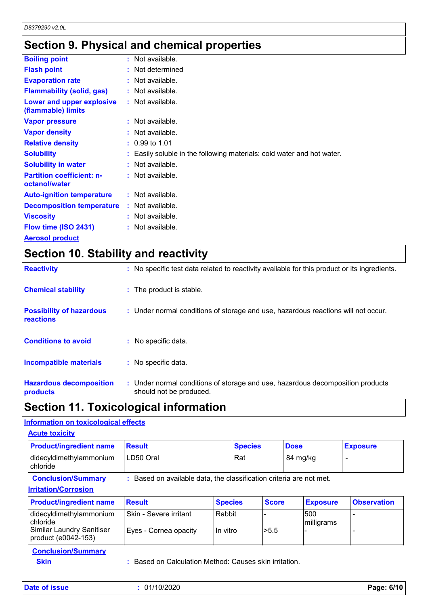# **Section 9. Physical and chemical properties**

| <b>Boiling point</b>                              | $:$ Not available.                                                     |
|---------------------------------------------------|------------------------------------------------------------------------|
| <b>Flash point</b>                                | : Not determined                                                       |
| <b>Evaporation rate</b>                           | $:$ Not available.                                                     |
| <b>Flammability (solid, gas)</b>                  | : Not available.                                                       |
| Lower and upper explosive<br>(flammable) limits   | : Not available.                                                       |
| <b>Vapor pressure</b>                             | : Not available.                                                       |
| <b>Vapor density</b>                              | $:$ Not available.                                                     |
| <b>Relative density</b>                           | $: 0.99$ to 1.01                                                       |
| <b>Solubility</b>                                 | : Easily soluble in the following materials: cold water and hot water. |
| <b>Solubility in water</b>                        | $:$ Not available.                                                     |
| <b>Partition coefficient: n-</b><br>octanol/water | $:$ Not available.                                                     |
| <b>Auto-ignition temperature</b>                  | : Not available.                                                       |
| <b>Decomposition temperature</b>                  | $:$ Not available.                                                     |
| <b>Viscosity</b>                                  | : Not available.                                                       |
| Flow time (ISO 2431)                              | : Not available.                                                       |
| <b>Aerosol product</b>                            |                                                                        |

# **Section 10. Stability and reactivity**

| <b>Reactivity</b>                            | : No specific test data related to reactivity available for this product or its ingredients.              |
|----------------------------------------------|-----------------------------------------------------------------------------------------------------------|
| <b>Chemical stability</b>                    | : The product is stable.                                                                                  |
| <b>Possibility of hazardous</b><br>reactions | : Under normal conditions of storage and use, hazardous reactions will not occur.                         |
| <b>Conditions to avoid</b>                   | : No specific data.                                                                                       |
| <b>Incompatible materials</b>                | : No specific data.                                                                                       |
| <b>Hazardous decomposition</b><br>products   | : Under normal conditions of storage and use, hazardous decomposition products<br>should not be produced. |

# **Section 11. Toxicological information**

#### **Information on toxicological effects**

| <b>Product/ingredient name</b>      | <b>Result</b>                                                       |                | <b>Species</b> |              | <b>Dose</b> |                 | <b>Exposure</b>    |  |
|-------------------------------------|---------------------------------------------------------------------|----------------|----------------|--------------|-------------|-----------------|--------------------|--|
| didecyldimethylammonium<br>chloride | LD50 Oral                                                           |                | Rat            |              | 84 mg/kg    |                 |                    |  |
| <b>Conclusion/Summary</b>           | : Based on available data, the classification criteria are not met. |                |                |              |             |                 |                    |  |
| <b>Irritation/Corrosion</b>         |                                                                     |                |                |              |             |                 |                    |  |
|                                     |                                                                     |                |                |              |             |                 |                    |  |
| <b>Product/ingredient name</b>      | <b>Result</b>                                                       | <b>Species</b> |                | <b>Score</b> |             | <b>Exposure</b> | <b>Observation</b> |  |
| didecyldimethylammonium<br>chloride | Skin - Severe irritant                                              | Rabbit         |                |              | 500         | milligrams      |                    |  |

| <b>Conclusion/Summary</b> |  |
|---------------------------|--|
| <b>Skin</b>               |  |

**Skin :** Based on Calculation Method: Causes skin irritation.

| Date of issue | 01/10/2020 | Page: 6/10 |
|---------------|------------|------------|
|---------------|------------|------------|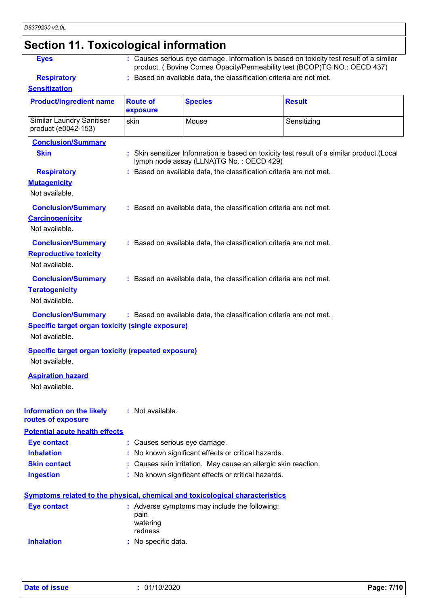# **Section 11. Toxicological information**

**Eyes :** Causes serious eye damage. Information is based on toxicity test result of a similar product. ( Bovine Cornea Opacity/Permeability test (BCOP)TG NO.: OECD 437)

**Respiratory :** Based on available data, the classification criteria are not met.

#### **Sensitization**

| <b>Product/ingredient name</b>                                                                         | <b>Route of</b><br>exposure  | <b>Species</b>                                                                      | <b>Result</b>                                                                               |
|--------------------------------------------------------------------------------------------------------|------------------------------|-------------------------------------------------------------------------------------|---------------------------------------------------------------------------------------------|
| <b>Similar Laundry Sanitiser</b><br>product (e0042-153)                                                | skin                         | Mouse                                                                               | Sensitizing                                                                                 |
| <b>Conclusion/Summary</b><br><b>Skin</b>                                                               |                              | lymph node assay (LLNA)TG No.: OECD 429)                                            | : Skin sensitizer Information is based on toxicity test result of a similar product. (Local |
| <b>Respiratory</b><br><b>Mutagenicity</b><br>Not available.                                            |                              | : Based on available data, the classification criteria are not met.                 |                                                                                             |
| <b>Conclusion/Summary</b><br><b>Carcinogenicity</b><br>Not available.                                  |                              | : Based on available data, the classification criteria are not met.                 |                                                                                             |
| <b>Conclusion/Summary</b><br><b>Reproductive toxicity</b><br>Not available.                            |                              | : Based on available data, the classification criteria are not met.                 |                                                                                             |
| <b>Conclusion/Summary</b><br><b>Teratogenicity</b><br>Not available.                                   |                              | : Based on available data, the classification criteria are not met.                 |                                                                                             |
| <b>Conclusion/Summary</b><br><b>Specific target organ toxicity (single exposure)</b><br>Not available. |                              | : Based on available data, the classification criteria are not met.                 |                                                                                             |
| <b>Specific target organ toxicity (repeated exposure)</b><br>Not available.                            |                              |                                                                                     |                                                                                             |
| <b>Aspiration hazard</b><br>Not available.                                                             |                              |                                                                                     |                                                                                             |
| <b>Information on the likely</b><br>routes of exposure                                                 | : Not available.             |                                                                                     |                                                                                             |
| <b>Potential acute health effects</b>                                                                  |                              |                                                                                     |                                                                                             |
| <b>Eye contact</b>                                                                                     | : Causes serious eye damage. |                                                                                     |                                                                                             |
| <b>Inhalation</b>                                                                                      |                              | No known significant effects or critical hazards.                                   |                                                                                             |
| <b>Skin contact</b>                                                                                    |                              | Causes skin irritation. May cause an allergic skin reaction.                        |                                                                                             |
| <b>Ingestion</b>                                                                                       |                              | : No known significant effects or critical hazards.                                 |                                                                                             |
|                                                                                                        |                              | <b>Symptoms related to the physical, chemical and toxicological characteristics</b> |                                                                                             |
| <b>Eye contact</b>                                                                                     | pain<br>watering<br>redness  | : Adverse symptoms may include the following:                                       |                                                                                             |
| <b>Inhalation</b>                                                                                      | : No specific data.          |                                                                                     |                                                                                             |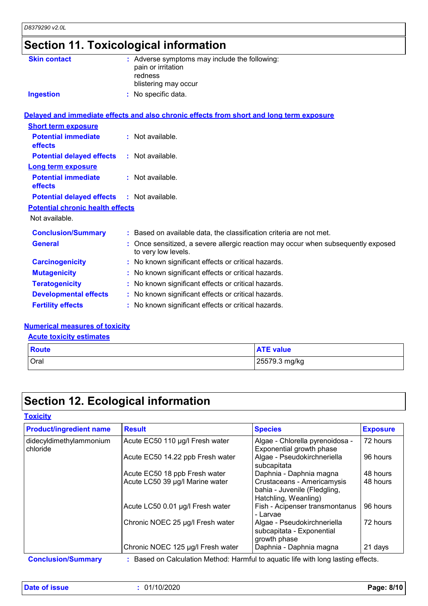# **Section 11. Toxicological information**

| <b>Skin contact</b>                     | : Adverse symptoms may include the following:<br>pain or irritation<br>redness                           |
|-----------------------------------------|----------------------------------------------------------------------------------------------------------|
|                                         | blistering may occur                                                                                     |
| <b>Ingestion</b>                        | : No specific data.                                                                                      |
|                                         | Delayed and immediate effects and also chronic effects from short and long term exposure                 |
| <b>Short term exposure</b>              |                                                                                                          |
| <b>Potential immediate</b><br>effects   | : Not available.                                                                                         |
| <b>Potential delayed effects</b>        | : Not available.                                                                                         |
| Long term exposure                      |                                                                                                          |
| <b>Potential immediate</b><br>effects   | : Not available.                                                                                         |
| <b>Potential delayed effects</b>        | $:$ Not available.                                                                                       |
| <b>Potential chronic health effects</b> |                                                                                                          |
| Not available.                          |                                                                                                          |
| <b>Conclusion/Summary</b>               | : Based on available data, the classification criteria are not met.                                      |
| <b>General</b>                          | : Once sensitized, a severe allergic reaction may occur when subsequently exposed<br>to very low levels. |
| <b>Carcinogenicity</b>                  | : No known significant effects or critical hazards.                                                      |
| <b>Mutagenicity</b>                     | : No known significant effects or critical hazards.                                                      |
| <b>Teratogenicity</b>                   | : No known significant effects or critical hazards.                                                      |
| <b>Developmental effects</b>            | : No known significant effects or critical hazards.                                                      |
| <b>Fertility effects</b>                | : No known significant effects or critical hazards.                                                      |

#### **Numerical measures of toxicity**

#### **Acute toxicity estimates**

| <b>Route</b> | <b>ATE value</b> |
|--------------|------------------|
| <b>Oral</b>  | 25579.3 mg/kg    |

# **Section 12. Ecological information**

| <b>Product/ingredient name</b>      | <b>Result</b>                     | <b>Species</b>                                                                     | <b>Exposure</b> |
|-------------------------------------|-----------------------------------|------------------------------------------------------------------------------------|-----------------|
| didecyldimethylammonium<br>chloride | Acute EC50 110 µg/l Fresh water   | Algae - Chlorella pyrenoidosa -<br>Exponential growth phase                        | 72 hours        |
|                                     | Acute EC50 14.22 ppb Fresh water  | Algae - Pseudokirchneriella<br>subcapitata                                         | 96 hours        |
|                                     | Acute EC50 18 ppb Fresh water     | Daphnia - Daphnia magna                                                            | 48 hours        |
|                                     | Acute LC50 39 µg/l Marine water   | Crustaceans - Americamysis<br>bahia - Juvenile (Fledgling,<br>Hatchling, Weanling) | 48 hours        |
|                                     | Acute LC50 0.01 µg/l Fresh water  | Fish - Acipenser transmontanus<br>- Larvae                                         | 96 hours        |
|                                     | Chronic NOEC 25 µg/l Fresh water  | Algae - Pseudokirchneriella<br>subcapitata - Exponential<br>growth phase           | 72 hours        |
|                                     | Chronic NOEC 125 µg/l Fresh water | Daphnia - Daphnia magna                                                            | 21 days         |

**Conclusion/Summary :** Based on Calculation Method: Harmful to aquatic life with long lasting effects.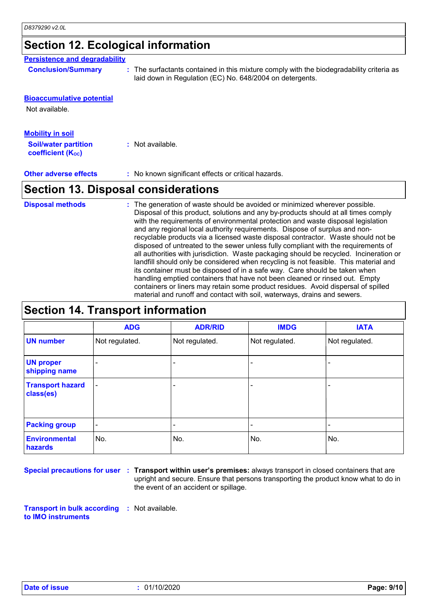## **Section 12. Ecological information**

### **Persistence and degradability**

| <b>Conclusion/Summary</b> |  |  |
|---------------------------|--|--|
|                           |  |  |

**:** The surfactants contained in this mixture comply with the biodegradability criteria as laid down in Regulation (EC) No. 648/2004 on detergents.

#### **Bioaccumulative potential**

Not available.

| Mobility in soil                                        |                  |
|---------------------------------------------------------|------------------|
| <b>Soil/water partition</b><br><b>coefficient (Koc)</b> | : Not available. |

**Other adverse effects** : No known significant effects or critical hazards.

# **Section 13. Disposal considerations**

The generation of waste should be avoided or minimized wherever possible. Disposal of this product, solutions and any by-products should at all times comply with the requirements of environmental protection and waste disposal legislation and any regional local authority requirements. Dispose of surplus and nonrecyclable products via a licensed waste disposal contractor. Waste should not be disposed of untreated to the sewer unless fully compliant with the requirements of all authorities with jurisdiction. Waste packaging should be recycled. Incineration or landfill should only be considered when recycling is not feasible. This material and its container must be disposed of in a safe way. Care should be taken when handling emptied containers that have not been cleaned or rinsed out. Empty containers or liners may retain some product residues. Avoid dispersal of spilled material and runoff and contact with soil, waterways, drains and sewers. **Disposal methods :**

# **Section 14. Transport information**

|                                      | <b>ADG</b>               | <b>ADR/RID</b> | <b>IMDG</b>    | <b>IATA</b>    |
|--------------------------------------|--------------------------|----------------|----------------|----------------|
| <b>UN number</b>                     | Not regulated.           | Not regulated. | Not regulated. | Not regulated. |
| <b>UN proper</b><br>shipping name    |                          |                |                |                |
| <b>Transport hazard</b><br>class(es) | $\overline{\phantom{a}}$ |                | -              |                |
| <b>Packing group</b>                 | $\blacksquare$           |                | -              |                |
| <b>Environmental</b><br>hazards      | No.                      | No.            | No.            | No.            |

**Special precautions for user** : Transport within user's premises: always transport in closed containers that are upright and secure. Ensure that persons transporting the product know what to do in the event of an accident or spillage.

**Transport in bulk according :** Not available. **to IMO instruments**